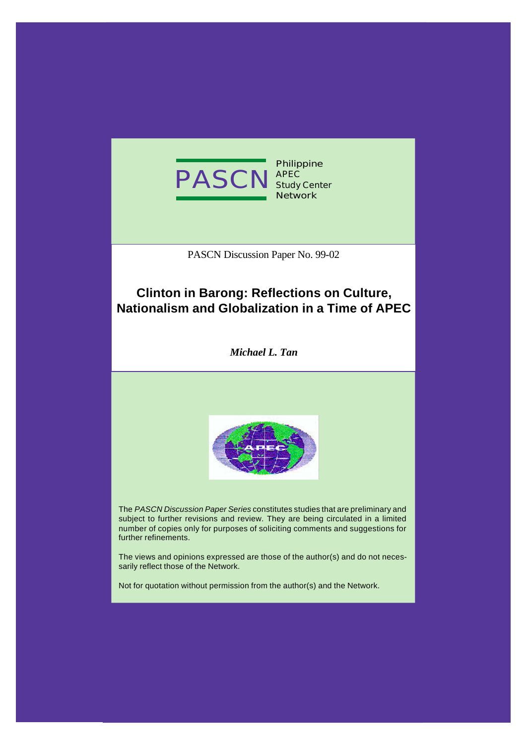

**Philippine Study Center Network**

PASCN Discussion Paper No. 99-02

# **Clinton in Barong: Reflections on Culture, Nationalism and Globalization in a Time of APEC**

*Michael L. Tan*



The *PASCN Discussion Paper Series* constitutes studies that are preliminary and subject to further revisions and review. They are being circulated in a limited number of copies only for purposes of soliciting comments and suggestions for further refinements.

The views and opinions expressed are those of the author(s) and do not necessarily reflect those of the Network.

Not for quotation without permission from the author(s) and the Network.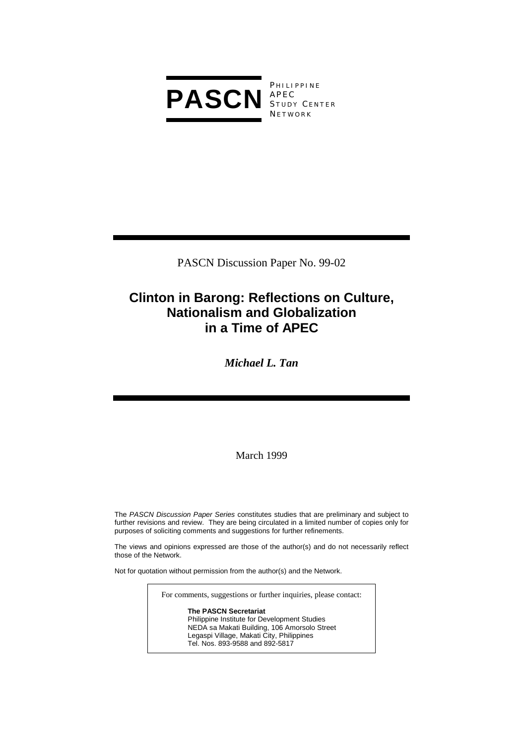

**PHILIPPINE** S TUDY C ENTER **NETWORK** 

PASCN Discussion Paper No. 99-02

# **Clinton in Barong: Reflections on Culture, Nationalism and Globalization in a Time of APEC**

*Michael L. Tan* 

March 1999

The *PASCN Discussion Paper Series* constitutes studies that are preliminary and subject to further revisions and review. They are being circulated in a limited number of copies only for purposes of soliciting comments and suggestions for further refinements.

The views and opinions expressed are those of the author(s) and do not necessarily reflect those of the Network.

Not for quotation without permission from the author(s) and the Network.

For comments, suggestions or further inquiries, please contact:

**The PASCN Secretariat** Philippine Institute for Development Studies NEDA sa Makati Building, 106 Amorsolo Street Legaspi Village, Makati City, Philippines Tel. Nos. 893-9588 and 892-5817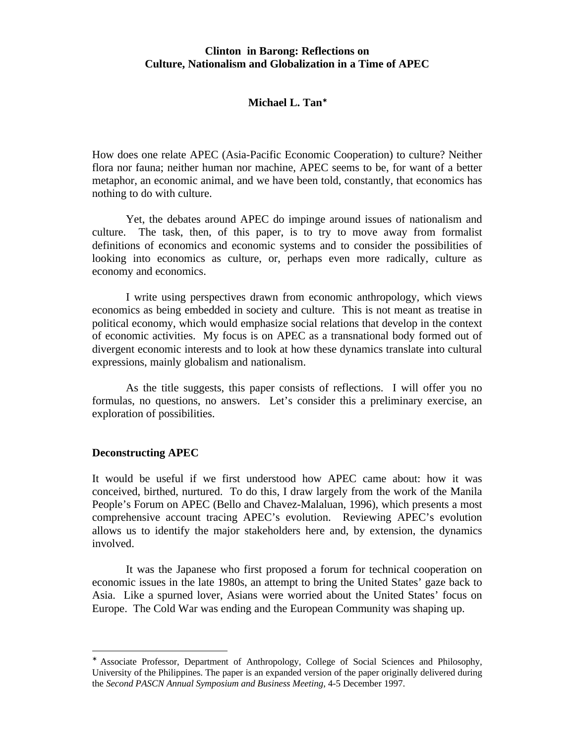# **Clinton in Barong: Reflections on Culture, Nationalism and Globalization in a Time of APEC**

# **Michael L. Tan**<sup>∗</sup>

How does one relate APEC (Asia-Pacific Economic Cooperation) to culture? Neither flora nor fauna; neither human nor machine, APEC seems to be, for want of a better metaphor, an economic animal, and we have been told, constantly, that economics has nothing to do with culture.

Yet, the debates around APEC do impinge around issues of nationalism and culture. The task, then, of this paper, is to try to move away from formalist definitions of economics and economic systems and to consider the possibilities of looking into economics as culture, or, perhaps even more radically, culture as economy and economics.

I write using perspectives drawn from economic anthropology, which views economics as being embedded in society and culture. This is not meant as treatise in political economy, which would emphasize social relations that develop in the context of economic activities. My focus is on APEC as a transnational body formed out of divergent economic interests and to look at how these dynamics translate into cultural expressions, mainly globalism and nationalism.

As the title suggests, this paper consists of reflections. I will offer you no formulas, no questions, no answers. Let's consider this a preliminary exercise, an exploration of possibilities.

#### **Deconstructing APEC**

-

It would be useful if we first understood how APEC came about: how it was conceived, birthed, nurtured. To do this, I draw largely from the work of the Manila People's Forum on APEC (Bello and Chavez-Malaluan, 1996), which presents a most comprehensive account tracing APEC's evolution. Reviewing APEC's evolution allows us to identify the major stakeholders here and, by extension, the dynamics involved.

It was the Japanese who first proposed a forum for technical cooperation on economic issues in the late 1980s, an attempt to bring the United States' gaze back to Asia. Like a spurned lover, Asians were worried about the United States' focus on Europe. The Cold War was ending and the European Community was shaping up.

<sup>∗</sup> Associate Professor, Department of Anthropology, College of Social Sciences and Philosophy, University of the Philippines. The paper is an expanded version of the paper originally delivered during the *Second PASCN Annual Symposium and Business Meeting*, 4-5 December 1997.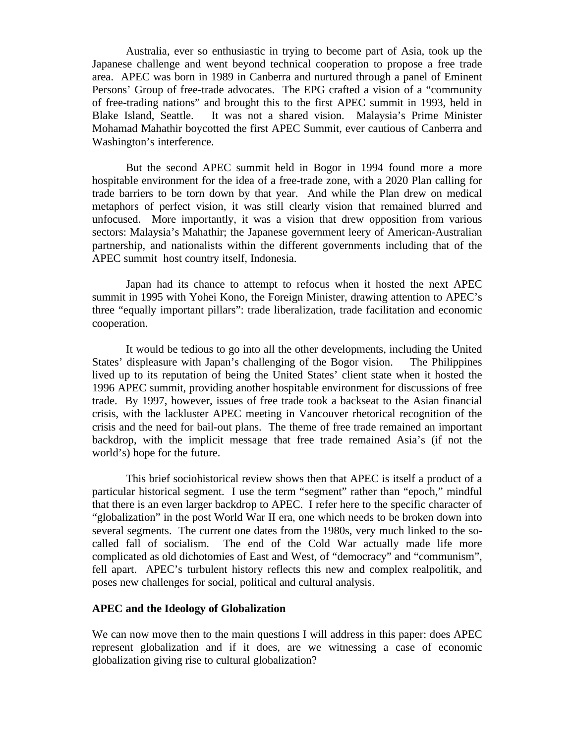Australia, ever so enthusiastic in trying to become part of Asia, took up the Japanese challenge and went beyond technical cooperation to propose a free trade area. APEC was born in 1989 in Canberra and nurtured through a panel of Eminent Persons' Group of free-trade advocates. The EPG crafted a vision of a "community of free-trading nations" and brought this to the first APEC summit in 1993, held in Blake Island, Seattle. It was not a shared vision. Malaysia's Prime Minister Mohamad Mahathir boycotted the first APEC Summit, ever cautious of Canberra and Washington's interference.

But the second APEC summit held in Bogor in 1994 found more a more hospitable environment for the idea of a free-trade zone, with a 2020 Plan calling for trade barriers to be torn down by that year. And while the Plan drew on medical metaphors of perfect vision, it was still clearly vision that remained blurred and unfocused. More importantly, it was a vision that drew opposition from various sectors: Malaysia's Mahathir; the Japanese government leery of American-Australian partnership, and nationalists within the different governments including that of the APEC summit host country itself, Indonesia.

Japan had its chance to attempt to refocus when it hosted the next APEC summit in 1995 with Yohei Kono, the Foreign Minister, drawing attention to APEC's three "equally important pillars": trade liberalization, trade facilitation and economic cooperation.

It would be tedious to go into all the other developments, including the United States' displeasure with Japan's challenging of the Bogor vision. The Philippines lived up to its reputation of being the United States' client state when it hosted the 1996 APEC summit, providing another hospitable environment for discussions of free trade. By 1997, however, issues of free trade took a backseat to the Asian financial crisis, with the lackluster APEC meeting in Vancouver rhetorical recognition of the crisis and the need for bail-out plans. The theme of free trade remained an important backdrop, with the implicit message that free trade remained Asia's (if not the world's) hope for the future.

This brief sociohistorical review shows then that APEC is itself a product of a particular historical segment. I use the term "segment" rather than "epoch," mindful that there is an even larger backdrop to APEC. I refer here to the specific character of "globalization" in the post World War II era, one which needs to be broken down into several segments. The current one dates from the 1980s, very much linked to the socalled fall of socialism. The end of the Cold War actually made life more complicated as old dichotomies of East and West, of "democracy" and "communism", fell apart. APEC's turbulent history reflects this new and complex realpolitik, and poses new challenges for social, political and cultural analysis.

#### **APEC and the Ideology of Globalization**

We can now move then to the main questions I will address in this paper: does APEC represent globalization and if it does, are we witnessing a case of economic globalization giving rise to cultural globalization?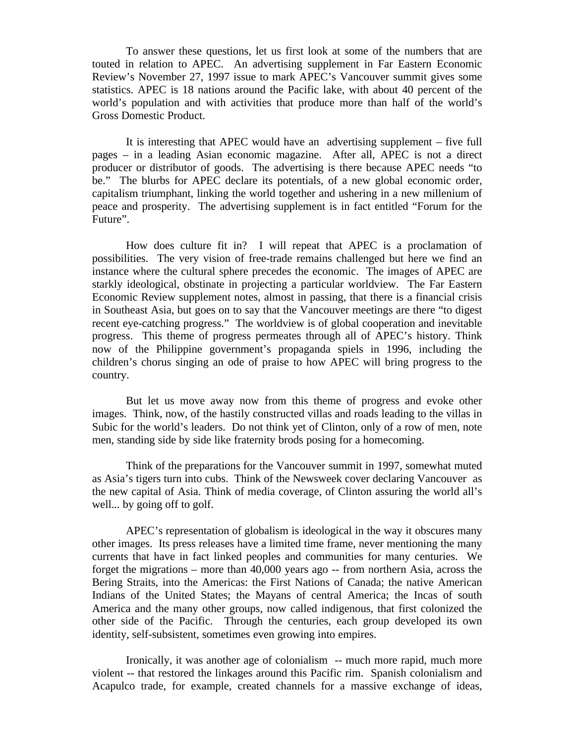To answer these questions, let us first look at some of the numbers that are touted in relation to APEC. An advertising supplement in Far Eastern Economic Review's November 27, 1997 issue to mark APEC's Vancouver summit gives some statistics. APEC is 18 nations around the Pacific lake, with about 40 percent of the world's population and with activities that produce more than half of the world's Gross Domestic Product.

It is interesting that APEC would have an advertising supplement – five full pages – in a leading Asian economic magazine. After all, APEC is not a direct producer or distributor of goods. The advertising is there because APEC needs "to be." The blurbs for APEC declare its potentials, of a new global economic order, capitalism triumphant, linking the world together and ushering in a new millenium of peace and prosperity. The advertising supplement is in fact entitled "Forum for the Future".

How does culture fit in? I will repeat that APEC is a proclamation of possibilities. The very vision of free-trade remains challenged but here we find an instance where the cultural sphere precedes the economic. The images of APEC are starkly ideological, obstinate in projecting a particular worldview. The Far Eastern Economic Review supplement notes, almost in passing, that there is a financial crisis in Southeast Asia, but goes on to say that the Vancouver meetings are there "to digest recent eye-catching progress." The worldview is of global cooperation and inevitable progress. This theme of progress permeates through all of APEC's history. Think now of the Philippine government's propaganda spiels in 1996, including the children's chorus singing an ode of praise to how APEC will bring progress to the country.

But let us move away now from this theme of progress and evoke other images. Think, now, of the hastily constructed villas and roads leading to the villas in Subic for the world's leaders. Do not think yet of Clinton, only of a row of men, note men, standing side by side like fraternity brods posing for a homecoming.

Think of the preparations for the Vancouver summit in 1997, somewhat muted as Asia's tigers turn into cubs. Think of the Newsweek cover declaring Vancouver as the new capital of Asia. Think of media coverage, of Clinton assuring the world all's well... by going off to golf.

APEC's representation of globalism is ideological in the way it obscures many other images. Its press releases have a limited time frame, never mentioning the many currents that have in fact linked peoples and communities for many centuries. We forget the migrations – more than 40,000 years ago -- from northern Asia, across the Bering Straits, into the Americas: the First Nations of Canada; the native American Indians of the United States; the Mayans of central America; the Incas of south America and the many other groups, now called indigenous, that first colonized the other side of the Pacific. Through the centuries, each group developed its own identity, self-subsistent, sometimes even growing into empires.

Ironically, it was another age of colonialism -- much more rapid, much more violent -- that restored the linkages around this Pacific rim. Spanish colonialism and Acapulco trade, for example, created channels for a massive exchange of ideas,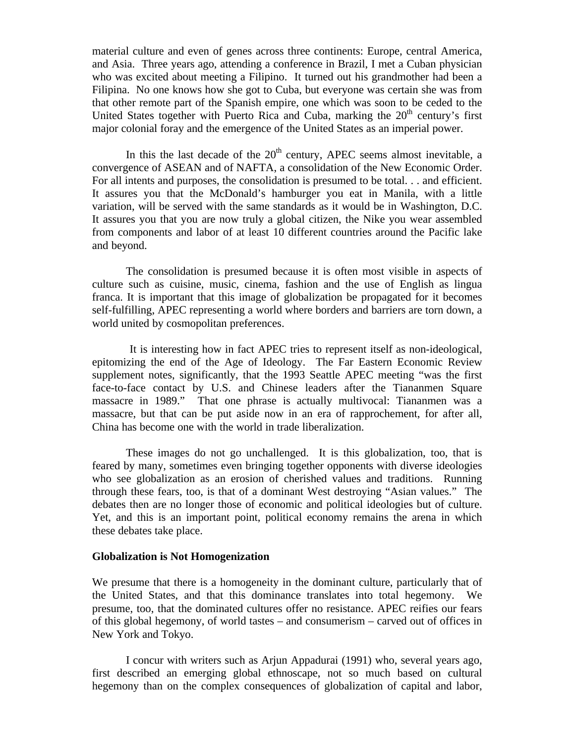material culture and even of genes across three continents: Europe, central America, and Asia. Three years ago, attending a conference in Brazil, I met a Cuban physician who was excited about meeting a Filipino. It turned out his grandmother had been a Filipina. No one knows how she got to Cuba, but everyone was certain she was from that other remote part of the Spanish empire, one which was soon to be ceded to the United States together with Puerto Rica and Cuba, marking the  $20<sup>th</sup>$  century's first major colonial foray and the emergence of the United States as an imperial power.

In this the last decade of the  $20<sup>th</sup>$  century, APEC seems almost inevitable, a convergence of ASEAN and of NAFTA, a consolidation of the New Economic Order. For all intents and purposes, the consolidation is presumed to be total. . . and efficient. It assures you that the McDonald's hamburger you eat in Manila, with a little variation, will be served with the same standards as it would be in Washington, D.C. It assures you that you are now truly a global citizen, the Nike you wear assembled from components and labor of at least 10 different countries around the Pacific lake and beyond.

The consolidation is presumed because it is often most visible in aspects of culture such as cuisine, music, cinema, fashion and the use of English as lingua franca. It is important that this image of globalization be propagated for it becomes self-fulfilling, APEC representing a world where borders and barriers are torn down, a world united by cosmopolitan preferences.

 It is interesting how in fact APEC tries to represent itself as non-ideological, epitomizing the end of the Age of Ideology. The Far Eastern Economic Review supplement notes, significantly, that the 1993 Seattle APEC meeting "was the first face-to-face contact by U.S. and Chinese leaders after the Tiananmen Square massacre in 1989." That one phrase is actually multivocal: Tiananmen was a massacre, but that can be put aside now in an era of rapprochement, for after all, China has become one with the world in trade liberalization.

These images do not go unchallenged. It is this globalization, too, that is feared by many, sometimes even bringing together opponents with diverse ideologies who see globalization as an erosion of cherished values and traditions. Running through these fears, too, is that of a dominant West destroying "Asian values." The debates then are no longer those of economic and political ideologies but of culture. Yet, and this is an important point, political economy remains the arena in which these debates take place.

### **Globalization is Not Homogenization**

We presume that there is a homogeneity in the dominant culture, particularly that of the United States, and that this dominance translates into total hegemony. We presume, too, that the dominated cultures offer no resistance. APEC reifies our fears of this global hegemony, of world tastes – and consumerism – carved out of offices in New York and Tokyo.

I concur with writers such as Arjun Appadurai (1991) who, several years ago, first described an emerging global ethnoscape, not so much based on cultural hegemony than on the complex consequences of globalization of capital and labor,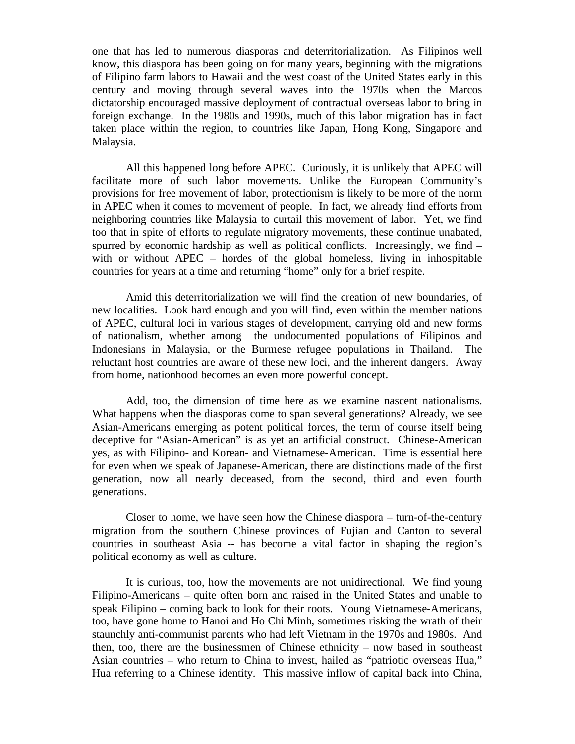one that has led to numerous diasporas and deterritorialization. As Filipinos well know, this diaspora has been going on for many years, beginning with the migrations of Filipino farm labors to Hawaii and the west coast of the United States early in this century and moving through several waves into the 1970s when the Marcos dictatorship encouraged massive deployment of contractual overseas labor to bring in foreign exchange. In the 1980s and 1990s, much of this labor migration has in fact taken place within the region, to countries like Japan, Hong Kong, Singapore and Malaysia.

All this happened long before APEC. Curiously, it is unlikely that APEC will facilitate more of such labor movements. Unlike the European Community's provisions for free movement of labor, protectionism is likely to be more of the norm in APEC when it comes to movement of people. In fact, we already find efforts from neighboring countries like Malaysia to curtail this movement of labor. Yet, we find too that in spite of efforts to regulate migratory movements, these continue unabated, spurred by economic hardship as well as political conflicts. Increasingly, we find – with or without APEC – hordes of the global homeless, living in inhospitable countries for years at a time and returning "home" only for a brief respite.

Amid this deterritorialization we will find the creation of new boundaries, of new localities. Look hard enough and you will find, even within the member nations of APEC, cultural loci in various stages of development, carrying old and new forms of nationalism, whether among the undocumented populations of Filipinos and Indonesians in Malaysia, or the Burmese refugee populations in Thailand. The reluctant host countries are aware of these new loci, and the inherent dangers. Away from home, nationhood becomes an even more powerful concept.

Add, too, the dimension of time here as we examine nascent nationalisms. What happens when the diasporas come to span several generations? Already, we see Asian-Americans emerging as potent political forces, the term of course itself being deceptive for "Asian-American" is as yet an artificial construct. Chinese-American yes, as with Filipino- and Korean- and Vietnamese-American. Time is essential here for even when we speak of Japanese-American, there are distinctions made of the first generation, now all nearly deceased, from the second, third and even fourth generations.

Closer to home, we have seen how the Chinese diaspora – turn-of-the-century migration from the southern Chinese provinces of Fujian and Canton to several countries in southeast Asia -- has become a vital factor in shaping the region's political economy as well as culture.

It is curious, too, how the movements are not unidirectional. We find young Filipino-Americans – quite often born and raised in the United States and unable to speak Filipino – coming back to look for their roots. Young Vietnamese-Americans, too, have gone home to Hanoi and Ho Chi Minh, sometimes risking the wrath of their staunchly anti-communist parents who had left Vietnam in the 1970s and 1980s. And then, too, there are the businessmen of Chinese ethnicity – now based in southeast Asian countries – who return to China to invest, hailed as "patriotic overseas Hua," Hua referring to a Chinese identity. This massive inflow of capital back into China,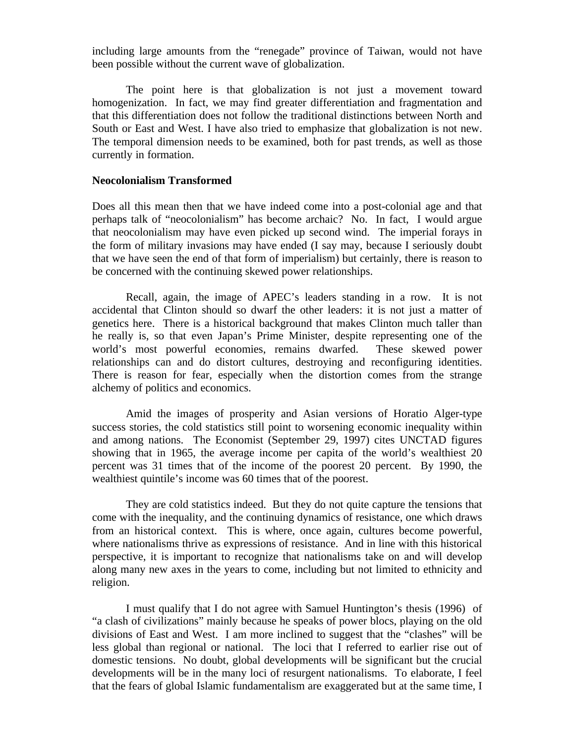including large amounts from the "renegade" province of Taiwan, would not have been possible without the current wave of globalization.

The point here is that globalization is not just a movement toward homogenization. In fact, we may find greater differentiation and fragmentation and that this differentiation does not follow the traditional distinctions between North and South or East and West. I have also tried to emphasize that globalization is not new. The temporal dimension needs to be examined, both for past trends, as well as those currently in formation.

#### **Neocolonialism Transformed**

Does all this mean then that we have indeed come into a post-colonial age and that perhaps talk of "neocolonialism" has become archaic? No. In fact, I would argue that neocolonialism may have even picked up second wind. The imperial forays in the form of military invasions may have ended (I say may, because I seriously doubt that we have seen the end of that form of imperialism) but certainly, there is reason to be concerned with the continuing skewed power relationships.

Recall, again, the image of APEC's leaders standing in a row. It is not accidental that Clinton should so dwarf the other leaders: it is not just a matter of genetics here. There is a historical background that makes Clinton much taller than he really is, so that even Japan's Prime Minister, despite representing one of the world's most powerful economies, remains dwarfed. These skewed power relationships can and do distort cultures, destroying and reconfiguring identities. There is reason for fear, especially when the distortion comes from the strange alchemy of politics and economics.

Amid the images of prosperity and Asian versions of Horatio Alger-type success stories, the cold statistics still point to worsening economic inequality within and among nations. The Economist (September 29, 1997) cites UNCTAD figures showing that in 1965, the average income per capita of the world's wealthiest 20 percent was 31 times that of the income of the poorest 20 percent. By 1990, the wealthiest quintile's income was 60 times that of the poorest.

They are cold statistics indeed. But they do not quite capture the tensions that come with the inequality, and the continuing dynamics of resistance, one which draws from an historical context. This is where, once again, cultures become powerful, where nationalisms thrive as expressions of resistance. And in line with this historical perspective, it is important to recognize that nationalisms take on and will develop along many new axes in the years to come, including but not limited to ethnicity and religion.

I must qualify that I do not agree with Samuel Huntington's thesis (1996) of "a clash of civilizations" mainly because he speaks of power blocs, playing on the old divisions of East and West. I am more inclined to suggest that the "clashes" will be less global than regional or national. The loci that I referred to earlier rise out of domestic tensions. No doubt, global developments will be significant but the crucial developments will be in the many loci of resurgent nationalisms. To elaborate, I feel that the fears of global Islamic fundamentalism are exaggerated but at the same time, I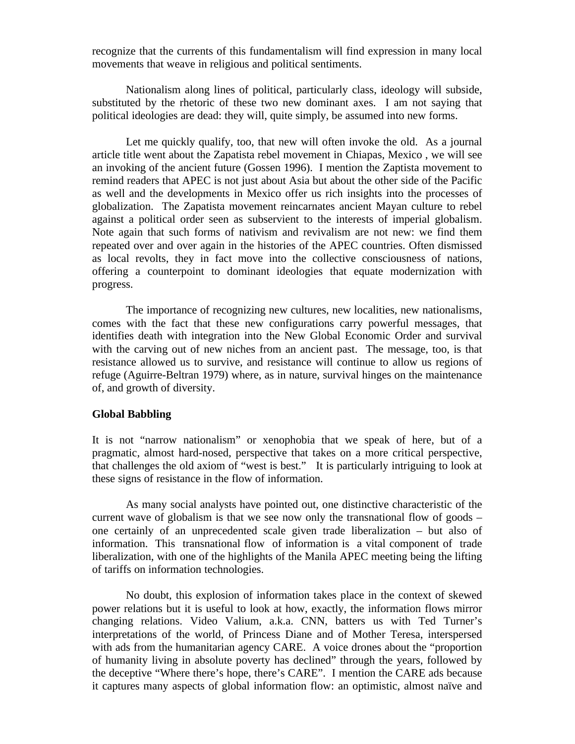recognize that the currents of this fundamentalism will find expression in many local movements that weave in religious and political sentiments.

Nationalism along lines of political, particularly class, ideology will subside, substituted by the rhetoric of these two new dominant axes. I am not saying that political ideologies are dead: they will, quite simply, be assumed into new forms.

Let me quickly qualify, too, that new will often invoke the old. As a journal article title went about the Zapatista rebel movement in Chiapas, Mexico , we will see an invoking of the ancient future (Gossen 1996). I mention the Zaptista movement to remind readers that APEC is not just about Asia but about the other side of the Pacific as well and the developments in Mexico offer us rich insights into the processes of globalization. The Zapatista movement reincarnates ancient Mayan culture to rebel against a political order seen as subservient to the interests of imperial globalism. Note again that such forms of nativism and revivalism are not new: we find them repeated over and over again in the histories of the APEC countries. Often dismissed as local revolts, they in fact move into the collective consciousness of nations, offering a counterpoint to dominant ideologies that equate modernization with progress.

The importance of recognizing new cultures, new localities, new nationalisms, comes with the fact that these new configurations carry powerful messages, that identifies death with integration into the New Global Economic Order and survival with the carving out of new niches from an ancient past. The message, too, is that resistance allowed us to survive, and resistance will continue to allow us regions of refuge (Aguirre-Beltran 1979) where, as in nature, survival hinges on the maintenance of, and growth of diversity.

#### **Global Babbling**

It is not "narrow nationalism" or xenophobia that we speak of here, but of a pragmatic, almost hard-nosed, perspective that takes on a more critical perspective, that challenges the old axiom of "west is best." It is particularly intriguing to look at these signs of resistance in the flow of information.

As many social analysts have pointed out, one distinctive characteristic of the current wave of globalism is that we see now only the transnational flow of goods  $$ one certainly of an unprecedented scale given trade liberalization – but also of information. This transnational flow of information is a vital component of trade liberalization, with one of the highlights of the Manila APEC meeting being the lifting of tariffs on information technologies.

No doubt, this explosion of information takes place in the context of skewed power relations but it is useful to look at how, exactly, the information flows mirror changing relations. Video Valium, a.k.a. CNN, batters us with Ted Turner's interpretations of the world, of Princess Diane and of Mother Teresa, interspersed with ads from the humanitarian agency CARE. A voice drones about the "proportion of humanity living in absolute poverty has declined" through the years, followed by the deceptive "Where there's hope, there's CARE". I mention the CARE ads because it captures many aspects of global information flow: an optimistic, almost naïve and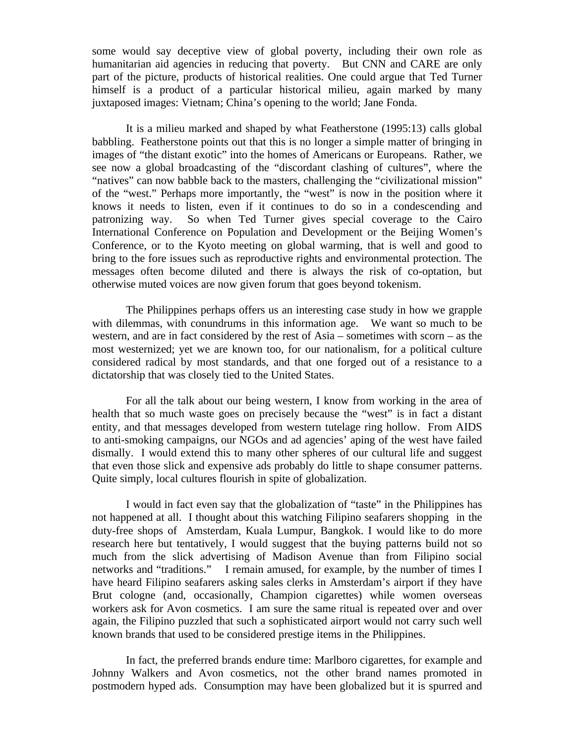some would say deceptive view of global poverty, including their own role as humanitarian aid agencies in reducing that poverty. But CNN and CARE are only part of the picture, products of historical realities. One could argue that Ted Turner himself is a product of a particular historical milieu, again marked by many juxtaposed images: Vietnam; China's opening to the world; Jane Fonda.

It is a milieu marked and shaped by what Featherstone (1995:13) calls global babbling. Featherstone points out that this is no longer a simple matter of bringing in images of "the distant exotic" into the homes of Americans or Europeans. Rather, we see now a global broadcasting of the "discordant clashing of cultures", where the "natives" can now babble back to the masters, challenging the "civilizational mission" of the "west." Perhaps more importantly, the "west" is now in the position where it knows it needs to listen, even if it continues to do so in a condescending and patronizing way. So when Ted Turner gives special coverage to the Cairo International Conference on Population and Development or the Beijing Women's Conference, or to the Kyoto meeting on global warming, that is well and good to bring to the fore issues such as reproductive rights and environmental protection. The messages often become diluted and there is always the risk of co-optation, but otherwise muted voices are now given forum that goes beyond tokenism.

The Philippines perhaps offers us an interesting case study in how we grapple with dilemmas, with conundrums in this information age. We want so much to be western, and are in fact considered by the rest of Asia – sometimes with scorn – as the most westernized; yet we are known too, for our nationalism, for a political culture considered radical by most standards, and that one forged out of a resistance to a dictatorship that was closely tied to the United States.

For all the talk about our being western, I know from working in the area of health that so much waste goes on precisely because the "west" is in fact a distant entity, and that messages developed from western tutelage ring hollow. From AIDS to anti-smoking campaigns, our NGOs and ad agencies' aping of the west have failed dismally. I would extend this to many other spheres of our cultural life and suggest that even those slick and expensive ads probably do little to shape consumer patterns. Quite simply, local cultures flourish in spite of globalization.

I would in fact even say that the globalization of "taste" in the Philippines has not happened at all. I thought about this watching Filipino seafarers shopping in the duty-free shops of Amsterdam, Kuala Lumpur, Bangkok. I would like to do more research here but tentatively, I would suggest that the buying patterns build not so much from the slick advertising of Madison Avenue than from Filipino social networks and "traditions." I remain amused, for example, by the number of times I have heard Filipino seafarers asking sales clerks in Amsterdam's airport if they have Brut cologne (and, occasionally, Champion cigarettes) while women overseas workers ask for Avon cosmetics. I am sure the same ritual is repeated over and over again, the Filipino puzzled that such a sophisticated airport would not carry such well known brands that used to be considered prestige items in the Philippines.

In fact, the preferred brands endure time: Marlboro cigarettes, for example and Johnny Walkers and Avon cosmetics, not the other brand names promoted in postmodern hyped ads. Consumption may have been globalized but it is spurred and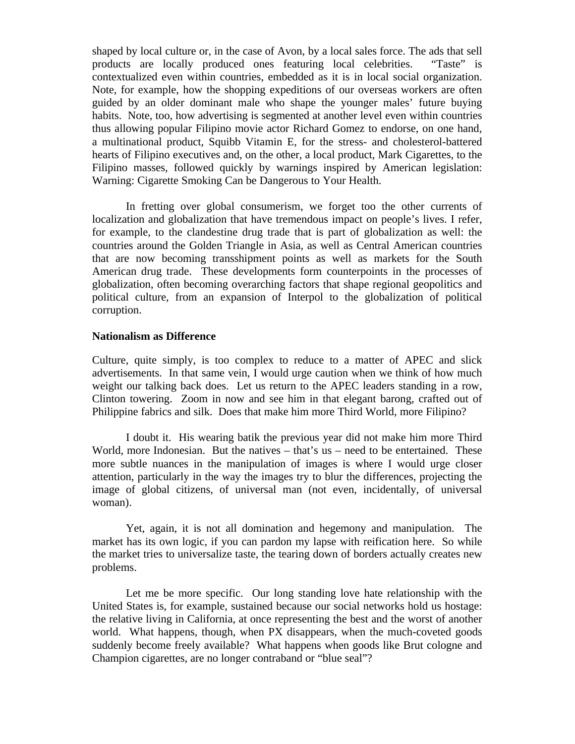shaped by local culture or, in the case of Avon, by a local sales force. The ads that sell products are locally produced ones featuring local celebrities. "Taste" is contextualized even within countries, embedded as it is in local social organization. Note, for example, how the shopping expeditions of our overseas workers are often guided by an older dominant male who shape the younger males' future buying habits. Note, too, how advertising is segmented at another level even within countries thus allowing popular Filipino movie actor Richard Gomez to endorse, on one hand, a multinational product, Squibb Vitamin E, for the stress- and cholesterol-battered hearts of Filipino executives and, on the other, a local product, Mark Cigarettes, to the Filipino masses, followed quickly by warnings inspired by American legislation: Warning: Cigarette Smoking Can be Dangerous to Your Health.

In fretting over global consumerism, we forget too the other currents of localization and globalization that have tremendous impact on people's lives. I refer, for example, to the clandestine drug trade that is part of globalization as well: the countries around the Golden Triangle in Asia, as well as Central American countries that are now becoming transshipment points as well as markets for the South American drug trade. These developments form counterpoints in the processes of globalization, often becoming overarching factors that shape regional geopolitics and political culture, from an expansion of Interpol to the globalization of political corruption.

#### **Nationalism as Difference**

Culture, quite simply, is too complex to reduce to a matter of APEC and slick advertisements. In that same vein, I would urge caution when we think of how much weight our talking back does. Let us return to the APEC leaders standing in a row, Clinton towering. Zoom in now and see him in that elegant barong, crafted out of Philippine fabrics and silk. Does that make him more Third World, more Filipino?

I doubt it. His wearing batik the previous year did not make him more Third World, more Indonesian. But the natives – that's us – need to be entertained. These more subtle nuances in the manipulation of images is where I would urge closer attention, particularly in the way the images try to blur the differences, projecting the image of global citizens, of universal man (not even, incidentally, of universal woman).

Yet, again, it is not all domination and hegemony and manipulation. The market has its own logic, if you can pardon my lapse with reification here. So while the market tries to universalize taste, the tearing down of borders actually creates new problems.

Let me be more specific. Our long standing love hate relationship with the United States is, for example, sustained because our social networks hold us hostage: the relative living in California, at once representing the best and the worst of another world. What happens, though, when PX disappears, when the much-coveted goods suddenly become freely available? What happens when goods like Brut cologne and Champion cigarettes, are no longer contraband or "blue seal"?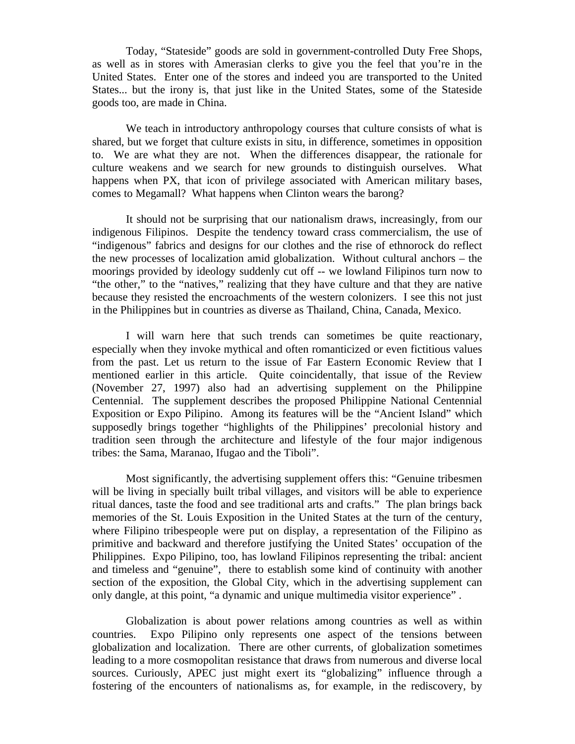Today, "Stateside" goods are sold in government-controlled Duty Free Shops, as well as in stores with Amerasian clerks to give you the feel that you're in the United States. Enter one of the stores and indeed you are transported to the United States... but the irony is, that just like in the United States, some of the Stateside goods too, are made in China.

We teach in introductory anthropology courses that culture consists of what is shared, but we forget that culture exists in situ, in difference, sometimes in opposition to. We are what they are not. When the differences disappear, the rationale for culture weakens and we search for new grounds to distinguish ourselves. What happens when PX, that icon of privilege associated with American military bases, comes to Megamall? What happens when Clinton wears the barong?

It should not be surprising that our nationalism draws, increasingly, from our indigenous Filipinos. Despite the tendency toward crass commercialism, the use of "indigenous" fabrics and designs for our clothes and the rise of ethnorock do reflect the new processes of localization amid globalization. Without cultural anchors – the moorings provided by ideology suddenly cut off -- we lowland Filipinos turn now to "the other," to the "natives," realizing that they have culture and that they are native because they resisted the encroachments of the western colonizers. I see this not just in the Philippines but in countries as diverse as Thailand, China, Canada, Mexico.

I will warn here that such trends can sometimes be quite reactionary, especially when they invoke mythical and often romanticized or even fictitious values from the past. Let us return to the issue of Far Eastern Economic Review that I mentioned earlier in this article. Quite coincidentally, that issue of the Review (November 27, 1997) also had an advertising supplement on the Philippine Centennial. The supplement describes the proposed Philippine National Centennial Exposition or Expo Pilipino. Among its features will be the "Ancient Island" which supposedly brings together "highlights of the Philippines' precolonial history and tradition seen through the architecture and lifestyle of the four major indigenous tribes: the Sama, Maranao, Ifugao and the Tiboli".

Most significantly, the advertising supplement offers this: "Genuine tribesmen will be living in specially built tribal villages, and visitors will be able to experience ritual dances, taste the food and see traditional arts and crafts." The plan brings back memories of the St. Louis Exposition in the United States at the turn of the century, where Filipino tribespeople were put on display, a representation of the Filipino as primitive and backward and therefore justifying the United States' occupation of the Philippines. Expo Pilipino, too, has lowland Filipinos representing the tribal: ancient and timeless and "genuine", there to establish some kind of continuity with another section of the exposition, the Global City, which in the advertising supplement can only dangle, at this point, "a dynamic and unique multimedia visitor experience" .

Globalization is about power relations among countries as well as within countries. Expo Pilipino only represents one aspect of the tensions between globalization and localization. There are other currents, of globalization sometimes leading to a more cosmopolitan resistance that draws from numerous and diverse local sources. Curiously, APEC just might exert its "globalizing" influence through a fostering of the encounters of nationalisms as, for example, in the rediscovery, by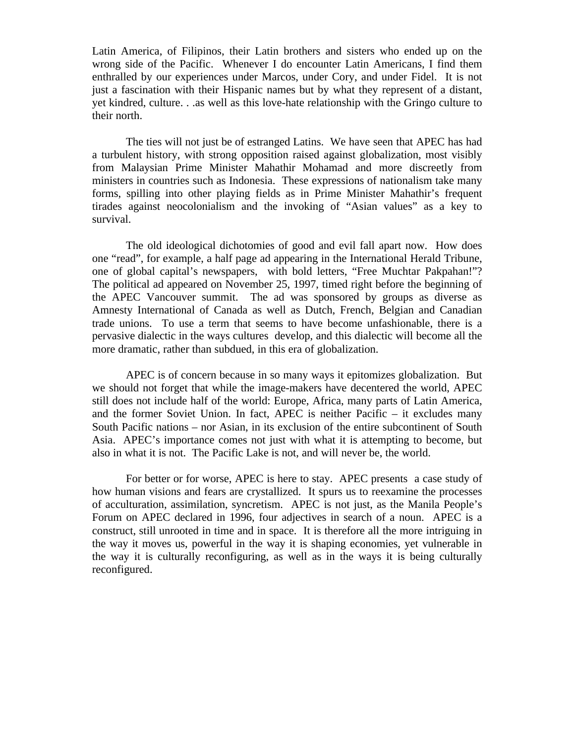Latin America, of Filipinos, their Latin brothers and sisters who ended up on the wrong side of the Pacific. Whenever I do encounter Latin Americans, I find them enthralled by our experiences under Marcos, under Cory, and under Fidel. It is not just a fascination with their Hispanic names but by what they represent of a distant, yet kindred, culture. . .as well as this love-hate relationship with the Gringo culture to their north.

The ties will not just be of estranged Latins. We have seen that APEC has had a turbulent history, with strong opposition raised against globalization, most visibly from Malaysian Prime Minister Mahathir Mohamad and more discreetly from ministers in countries such as Indonesia. These expressions of nationalism take many forms, spilling into other playing fields as in Prime Minister Mahathir's frequent tirades against neocolonialism and the invoking of "Asian values" as a key to survival.

The old ideological dichotomies of good and evil fall apart now. How does one "read", for example, a half page ad appearing in the International Herald Tribune, one of global capital's newspapers, with bold letters, "Free Muchtar Pakpahan!"? The political ad appeared on November 25, 1997, timed right before the beginning of the APEC Vancouver summit. The ad was sponsored by groups as diverse as Amnesty International of Canada as well as Dutch, French, Belgian and Canadian trade unions. To use a term that seems to have become unfashionable, there is a pervasive dialectic in the ways cultures develop, and this dialectic will become all the more dramatic, rather than subdued, in this era of globalization.

APEC is of concern because in so many ways it epitomizes globalization. But we should not forget that while the image-makers have decentered the world, APEC still does not include half of the world: Europe, Africa, many parts of Latin America, and the former Soviet Union. In fact, APEC is neither Pacific – it excludes many South Pacific nations – nor Asian, in its exclusion of the entire subcontinent of South Asia. APEC's importance comes not just with what it is attempting to become, but also in what it is not. The Pacific Lake is not, and will never be, the world.

For better or for worse, APEC is here to stay. APEC presents a case study of how human visions and fears are crystallized. It spurs us to reexamine the processes of acculturation, assimilation, syncretism. APEC is not just, as the Manila People's Forum on APEC declared in 1996, four adjectives in search of a noun. APEC is a construct, still unrooted in time and in space. It is therefore all the more intriguing in the way it moves us, powerful in the way it is shaping economies, yet vulnerable in the way it is culturally reconfiguring, as well as in the ways it is being culturally reconfigured.